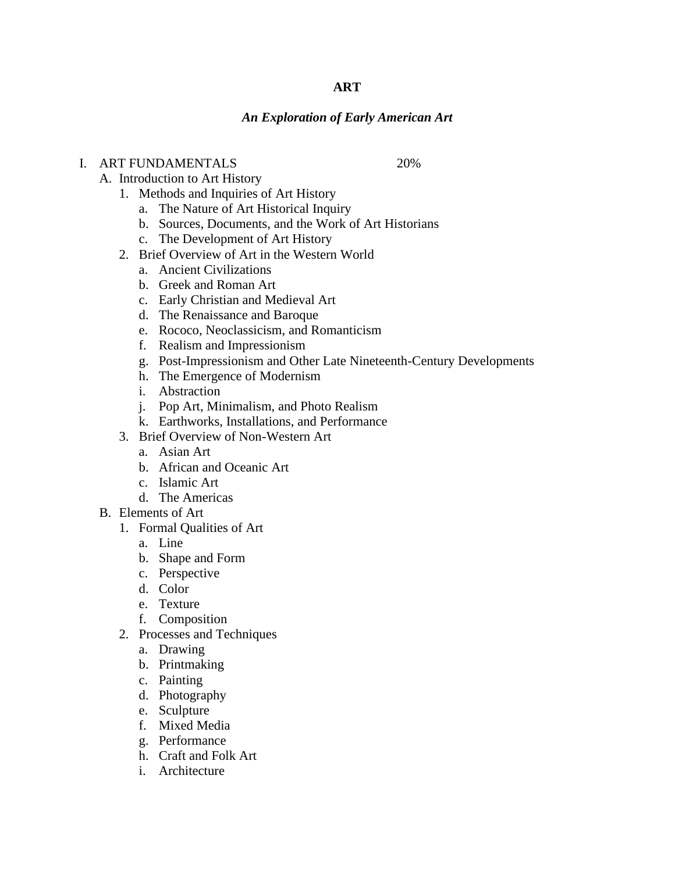### **ART**

### *An Exploration of Early American Art*

## I. ART FUNDAMENTALS 20%

- A. Introduction to Art History
	- 1. Methods and Inquiries of Art History
		- a. The Nature of Art Historical Inquiry
		- b. Sources, Documents, and the Work of Art Historians
		- c. The Development of Art History
	- 2. Brief Overview of Art in the Western World
		- a. Ancient Civilizations
		- b. Greek and Roman Art
		- c. Early Christian and Medieval Art
		- d. The Renaissance and Baroque
		- e. Rococo, Neoclassicism, and Romanticism
		- f. Realism and Impressionism
		- g. Post-Impressionism and Other Late Nineteenth-Century Developments
		- h. The Emergence of Modernism
		- i. Abstraction
		- j. Pop Art, Minimalism, and Photo Realism
		- k. Earthworks, Installations, and Performance
	- 3. Brief Overview of Non-Western Art
		- a. Asian Art
		- b. African and Oceanic Art
		- c. Islamic Art
		- d. The Americas
- B. Elements of Art
	- 1. Formal Qualities of Art
		- a. Line
		- b. Shape and Form
		- c. Perspective
		- d. Color
		- e. Texture
		- f. Composition
	- 2. Processes and Techniques
		- a. Drawing
		- b. Printmaking
		- c. Painting
		- d. Photography
		- e. Sculpture
		- f. Mixed Media
		- g. Performance
		- h. Craft and Folk Art
		- i. Architecture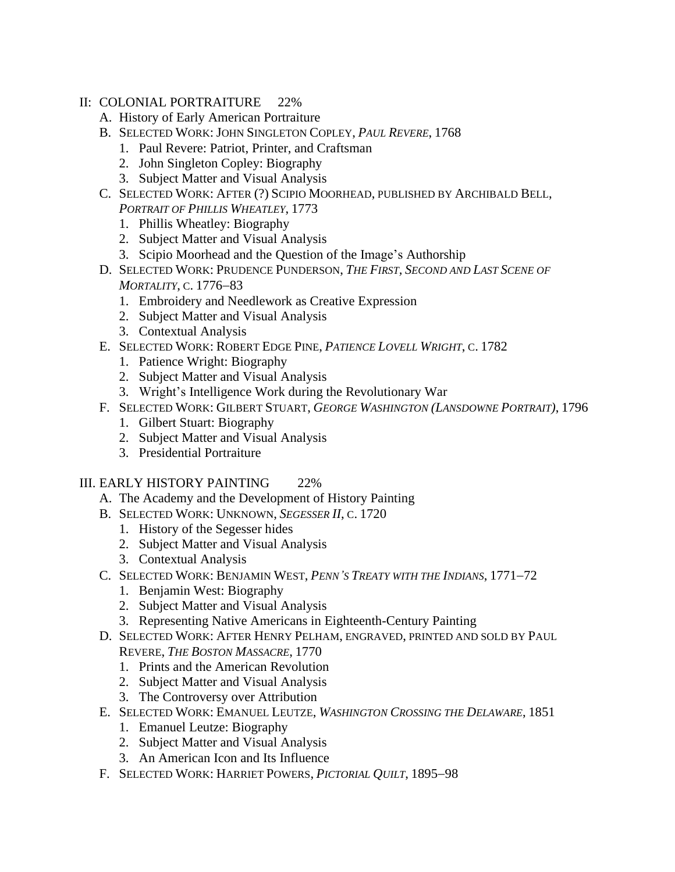- II: COLONIAL PORTRAITURE 22%
	- A. History of Early American Portraiture
	- B. SELECTED WORK: JOHN SINGLETON COPLEY, *PAUL REVERE*, 1768
		- 1. Paul Revere: Patriot, Printer, and Craftsman
		- 2. John Singleton Copley: Biography
		- 3. Subject Matter and Visual Analysis
	- C. SELECTED WORK: AFTER (?) SCIPIO MOORHEAD, PUBLISHED BY ARCHIBALD BELL, *PORTRAIT OF PHILLIS WHEATLEY*, 1773
		- 1. Phillis Wheatley: Biography
		- 2. Subject Matter and Visual Analysis
		- 3. Scipio Moorhead and the Question of the Image's Authorship
	- D. SELECTED WORK: PRUDENCE PUNDERSON, *THE FIRST, SECOND AND LAST SCENE OF MORTALITY*, C. 1776−83
		- 1. Embroidery and Needlework as Creative Expression
		- 2. Subject Matter and Visual Analysis
		- 3. Contextual Analysis
	- E. SELECTED WORK: ROBERT EDGE PINE, *PATIENCE LOVELL WRIGHT*, C. 1782
		- 1. Patience Wright: Biography
		- 2. Subject Matter and Visual Analysis
		- 3. Wright's Intelligence Work during the Revolutionary War
	- F. SELECTED WORK: GILBERT STUART, *GEORGE WASHINGTON (LANSDOWNE PORTRAIT)*, 1796
		- 1. Gilbert Stuart: Biography
		- 2. Subject Matter and Visual Analysis
		- 3. Presidential Portraiture

#### III. EARLY HISTORY PAINTING 22%

- A. The Academy and the Development of History Painting
- B. SELECTED WORK: UNKNOWN, *SEGESSER II*, C. 1720
	- 1. History of the Segesser hides
	- 2. Subject Matter and Visual Analysis
	- 3. Contextual Analysis
- C. SELECTED WORK: BENJAMIN WEST, *PENN'S TREATY WITH THE INDIANS*, 1771−72
	- 1. Benjamin West: Biography
	- 2. Subject Matter and Visual Analysis
	- 3. Representing Native Americans in Eighteenth-Century Painting
- D. SELECTED WORK: AFTER HENRY PELHAM, ENGRAVED, PRINTED AND SOLD BY PAUL REVERE, *THE BOSTON MASSACRE*, 1770
	- 1. Prints and the American Revolution
	- 2. Subject Matter and Visual Analysis
	- 3. The Controversy over Attribution
- E. SELECTED WORK: EMANUEL LEUTZE, *WASHINGTON CROSSING THE DELAWARE*, 1851
	- 1. Emanuel Leutze: Biography
	- 2. Subject Matter and Visual Analysis
	- 3. An American Icon and Its Influence
- F. SELECTED WORK: HARRIET POWERS, *PICTORIAL QUILT*, 1895−98